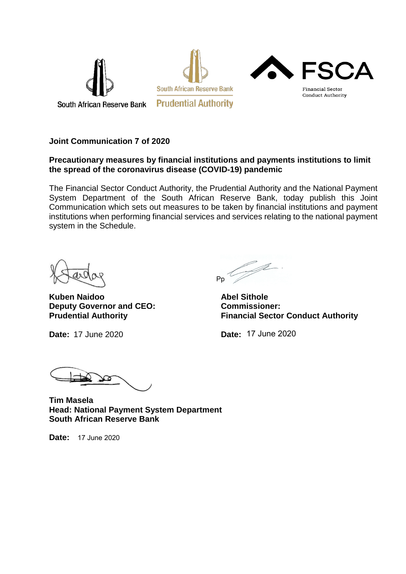

### **Joint Communication 7 of 2020**

#### **Precautionary measures by financial institutions and payments institutions to limit the spread of the coronavirus disease (COVID-19) pandemic**

The Financial Sector Conduct Authority, the Prudential Authority and the National Payment System Department of the South African Reserve Bank, today publish this Joint Communication which sets out measures to be taken by financial institutions and payment institutions when performing financial services and services relating to the national payment system in the Schedule.

**Kuben Naidoo Abel Sithole Deputy Governor and CEO:** Commissioner:<br> **Prudential Authority** Financial Secto

**Date:** 17 June 2020 **Date:**

Ž P<sub>p</sub>

**Financial Sector Conduct Authority** 

Date: 17 June 2020

**Tim Masela Head: National Payment System Department South African Reserve Bank**

**Date:** 17 June 2020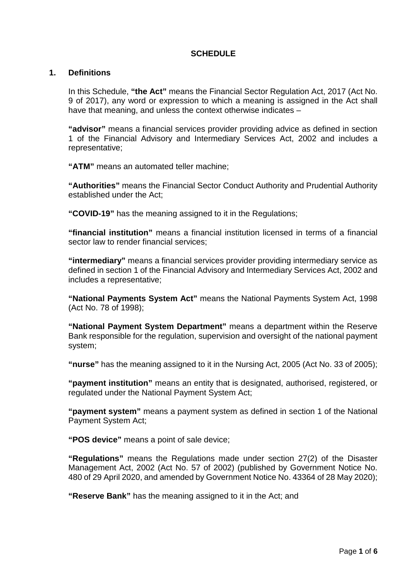## **SCHEDULE**

#### **1. Definitions**

In this Schedule, **"the Act"** means the Financial Sector Regulation Act, 2017 (Act No. 9 of 2017), any word or expression to which a meaning is assigned in the Act shall have that meaning, and unless the context otherwise indicates -

**"advisor"** means a financial services provider providing advice as defined in section 1 of the Financial Advisory and Intermediary Services Act, 2002 and includes a representative;

**"ATM"** means an automated teller machine;

**"Authorities"** means the Financial Sector Conduct Authority and Prudential Authority established under the Act;

**"COVID-19"** has the meaning assigned to it in the Regulations;

**"financial institution"** means a financial institution licensed in terms of a financial sector law to render financial services;

**"intermediary"** means a financial services provider providing intermediary service as defined in section 1 of the Financial Advisory and Intermediary Services Act, 2002 and includes a representative;

**"National Payments System Act"** means the National Payments System Act, 1998 (Act No. 78 of 1998);

**"National Payment System Department"** means a department within the Reserve Bank responsible for the regulation, supervision and oversight of the national payment system;

**"nurse"** has the meaning assigned to it in the Nursing Act, 2005 (Act No. 33 of 2005);

**"payment institution"** means an entity that is designated, authorised, registered, or regulated under the National Payment System Act;

**"payment system"** means a payment system as defined in section 1 of the National Payment System Act;

**"POS device"** means a point of sale device;

**"Regulations"** means the Regulations made under section 27(2) of the Disaster Management Act, 2002 (Act No. 57 of 2002) (published by Government Notice No. 480 of 29 April 2020, and amended by Government Notice No. 43364 of 28 May 2020);

**"Reserve Bank"** has the meaning assigned to it in the Act; and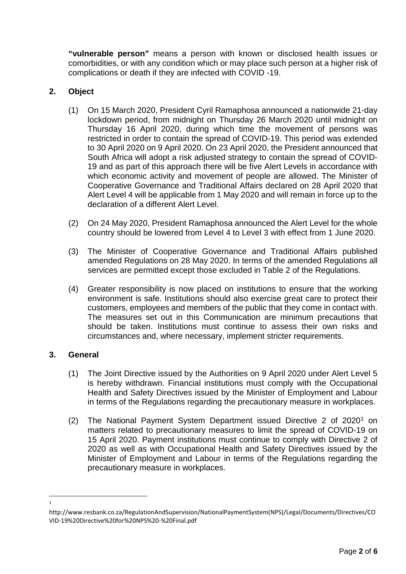**"vulnerable person"** means a person with known or disclosed health issues or comorbidities, or with any condition which or may place such person at a higher risk of complications or death if they are infected with COVID -19.

# **2. Object**

- (1) On 15 March 2020, President Cyril Ramaphosa announced a nationwide 21-day lockdown period, from midnight on Thursday 26 March 2020 until midnight on Thursday 16 April 2020, during which time the movement of persons was restricted in order to contain the spread of COVID-19. This period was extended to 30 April 2020 on 9 April 2020. On 23 April 2020, the President announced that South Africa will adopt a risk adjusted strategy to contain the spread of COVID-19 and as part of this approach there will be five Alert Levels in accordance with which economic activity and movement of people are allowed. The Minister of Cooperative Governance and Traditional Affairs declared on 28 April 2020 that Alert Level 4 will be applicable from 1 May 2020 and will remain in force up to the declaration of a different Alert Level.
- (2) On 24 May 2020, President Ramaphosa announced the Alert Level for the whole country should be lowered from Level 4 to Level 3 with effect from 1 June 2020.
- (3) The Minister of Cooperative Governance and Traditional Affairs published amended Regulations on 28 May 2020. In terms of the amended Regulations all services are permitted except those excluded in Table 2 of the Regulations.
- (4) Greater responsibility is now placed on institutions to ensure that the working environment is safe. Institutions should also exercise great care to protect their customers, employees and members of the public that they come in contact with. The measures set out in this Communication are minimum precautions that should be taken. Institutions must continue to assess their own risks and circumstances and, where necessary, implement stricter requirements.

# **3. General**

 $\frac{1}{1}$ 

- (1) The Joint Directive issued by the Authorities on 9 April 2020 under Alert Level 5 is hereby withdrawn. Financial institutions must comply with the Occupational Health and Safety Directives issued by the Minister of Employment and Labour in terms of the Regulations regarding the precautionary measure in workplaces.
- (2) The National Payment System Department issued Directive 2 of 2020[1](#page-2-0) on matters related to precautionary measures to limit the spread of COVID-19 on 15 April 2020. Payment institutions must continue to comply with Directive 2 of 2020 as well as with Occupational Health and Safety Directives issued by the Minister of Employment and Labour in terms of the Regulations regarding the precautionary measure in workplaces.

<span id="page-2-0"></span>http://www.resbank.co.za/RegulationAndSupervision/NationalPaymentSystem(NPS)/Legal/Documents/Directives/CO VID-19%20Directive%20for%20NPS%20-%20Final.pdf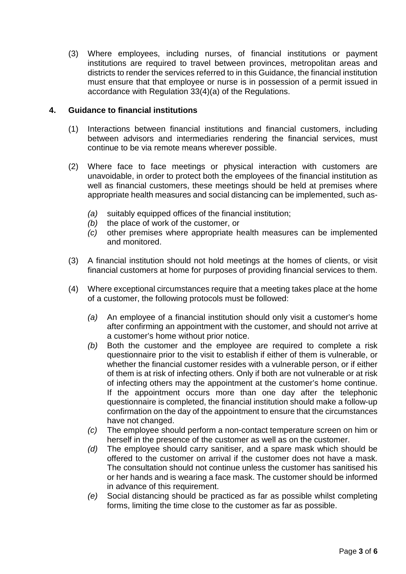(3) Where employees, including nurses, of financial institutions or payment institutions are required to travel between provinces, metropolitan areas and districts to render the services referred to in this Guidance, the financial institution must ensure that that employee or nurse is in possession of a permit issued in accordance with Regulation 33(4)(a) of the Regulations.

### **4. Guidance to financial institutions**

- (1) Interactions between financial institutions and financial customers, including between advisors and intermediaries rendering the financial services, must continue to be via remote means wherever possible.
- (2) Where face to face meetings or physical interaction with customers are unavoidable, in order to protect both the employees of the financial institution as well as financial customers, these meetings should be held at premises where appropriate health measures and social distancing can be implemented, such as-
	- *(a)* suitably equipped offices of the financial institution;
	- *(b)* the place of work of the customer, or
	- *(c)* other premises where appropriate health measures can be implemented and monitored.
- (3) A financial institution should not hold meetings at the homes of clients, or visit financial customers at home for purposes of providing financial services to them.
- (4) Where exceptional circumstances require that a meeting takes place at the home of a customer, the following protocols must be followed:
	- *(a)* An employee of a financial institution should only visit a customer's home after confirming an appointment with the customer, and should not arrive at a customer's home without prior notice.
	- *(b)* Both the customer and the employee are required to complete a risk questionnaire prior to the visit to establish if either of them is vulnerable, or whether the financial customer resides with a vulnerable person, or if either of them is at risk of infecting others. Only if both are not vulnerable or at risk of infecting others may the appointment at the customer's home continue. If the appointment occurs more than one day after the telephonic questionnaire is completed, the financial institution should make a follow-up confirmation on the day of the appointment to ensure that the circumstances have not changed.
	- *(c)* The employee should perform a non-contact temperature screen on him or herself in the presence of the customer as well as on the customer.
	- *(d)* The employee should carry sanitiser, and a spare mask which should be offered to the customer on arrival if the customer does not have a mask. The consultation should not continue unless the customer has sanitised his or her hands and is wearing a face mask. The customer should be informed in advance of this requirement.
	- *(e)* Social distancing should be practiced as far as possible whilst completing forms, limiting the time close to the customer as far as possible.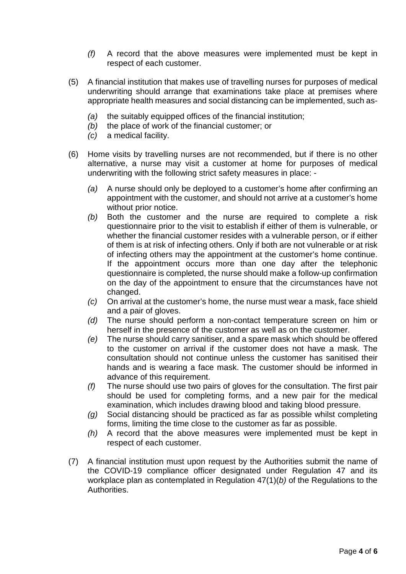- *(f)* A record that the above measures were implemented must be kept in respect of each customer.
- (5) A financial institution that makes use of travelling nurses for purposes of medical underwriting should arrange that examinations take place at premises where appropriate health measures and social distancing can be implemented, such as-
	- *(a)* the suitably equipped offices of the financial institution;
	- *(b)* the place of work of the financial customer; or
	- *(c)* a medical facility.
- (6) Home visits by travelling nurses are not recommended, but if there is no other alternative, a nurse may visit a customer at home for purposes of medical underwriting with the following strict safety measures in place: -
	- *(a)* A nurse should only be deployed to a customer's home after confirming an appointment with the customer, and should not arrive at a customer's home without prior notice.
	- *(b)* Both the customer and the nurse are required to complete a risk questionnaire prior to the visit to establish if either of them is vulnerable, or whether the financial customer resides with a vulnerable person, or if either of them is at risk of infecting others. Only if both are not vulnerable or at risk of infecting others may the appointment at the customer's home continue. If the appointment occurs more than one day after the telephonic questionnaire is completed, the nurse should make a follow-up confirmation on the day of the appointment to ensure that the circumstances have not changed.
	- *(c)* On arrival at the customer's home, the nurse must wear a mask, face shield and a pair of gloves.
	- *(d)* The nurse should perform a non-contact temperature screen on him or herself in the presence of the customer as well as on the customer.
	- *(e)* The nurse should carry sanitiser, and a spare mask which should be offered to the customer on arrival if the customer does not have a mask. The consultation should not continue unless the customer has sanitised their hands and is wearing a face mask. The customer should be informed in advance of this requirement.
	- *(f)* The nurse should use two pairs of gloves for the consultation. The first pair should be used for completing forms, and a new pair for the medical examination, which includes drawing blood and taking blood pressure.
	- *(g)* Social distancing should be practiced as far as possible whilst completing forms, limiting the time close to the customer as far as possible.
	- *(h)* A record that the above measures were implemented must be kept in respect of each customer.
- (7) A financial institution must upon request by the Authorities submit the name of the COVID-19 compliance officer designated under Regulation 47 and its workplace plan as contemplated in Regulation 47(1)(*b)* of the Regulations to the Authorities.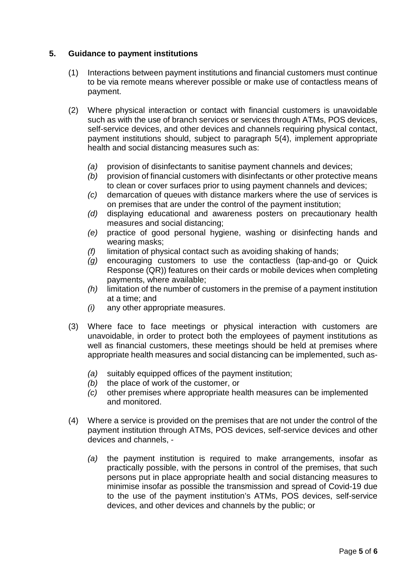## **5. Guidance to payment institutions**

- (1) Interactions between payment institutions and financial customers must continue to be via remote means wherever possible or make use of contactless means of payment.
- (2) Where physical interaction or contact with financial customers is unavoidable such as with the use of branch services or services through ATMs, POS devices, self-service devices, and other devices and channels requiring physical contact, payment institutions should, subject to paragraph 5(4), implement appropriate health and social distancing measures such as:
	- *(a)* provision of disinfectants to sanitise payment channels and devices;
	- *(b)* provision of financial customers with disinfectants or other protective means to clean or cover surfaces prior to using payment channels and devices;
	- *(c)* demarcation of queues with distance markers where the use of services is on premises that are under the control of the payment institution;
	- *(d)* displaying educational and awareness posters on precautionary health measures and social distancing;
	- *(e)* practice of good personal hygiene, washing or disinfecting hands and wearing masks;
	- *(f)* limitation of physical contact such as avoiding shaking of hands;
	- *(g)* encouraging customers to use the contactless (tap-and-go or Quick Response (QR)) features on their cards or mobile devices when completing payments, where available;
	- *(h)* limitation of the number of customers in the premise of a payment institution at a time; and
	- *(i)* any other appropriate measures.
- (3) Where face to face meetings or physical interaction with customers are unavoidable, in order to protect both the employees of payment institutions as well as financial customers, these meetings should be held at premises where appropriate health measures and social distancing can be implemented, such as-
	- *(a)* suitably equipped offices of the payment institution;
	- *(b)* the place of work of the customer, or
	- *(c)* other premises where appropriate health measures can be implemented and monitored.
- (4) Where a service is provided on the premises that are not under the control of the payment institution through ATMs, POS devices, self-service devices and other devices and channels, -
	- *(a)* the payment institution is required to make arrangements, insofar as practically possible, with the persons in control of the premises, that such persons put in place appropriate health and social distancing measures to minimise insofar as possible the transmission and spread of Covid-19 due to the use of the payment institution's ATMs, POS devices, self-service devices, and other devices and channels by the public; or